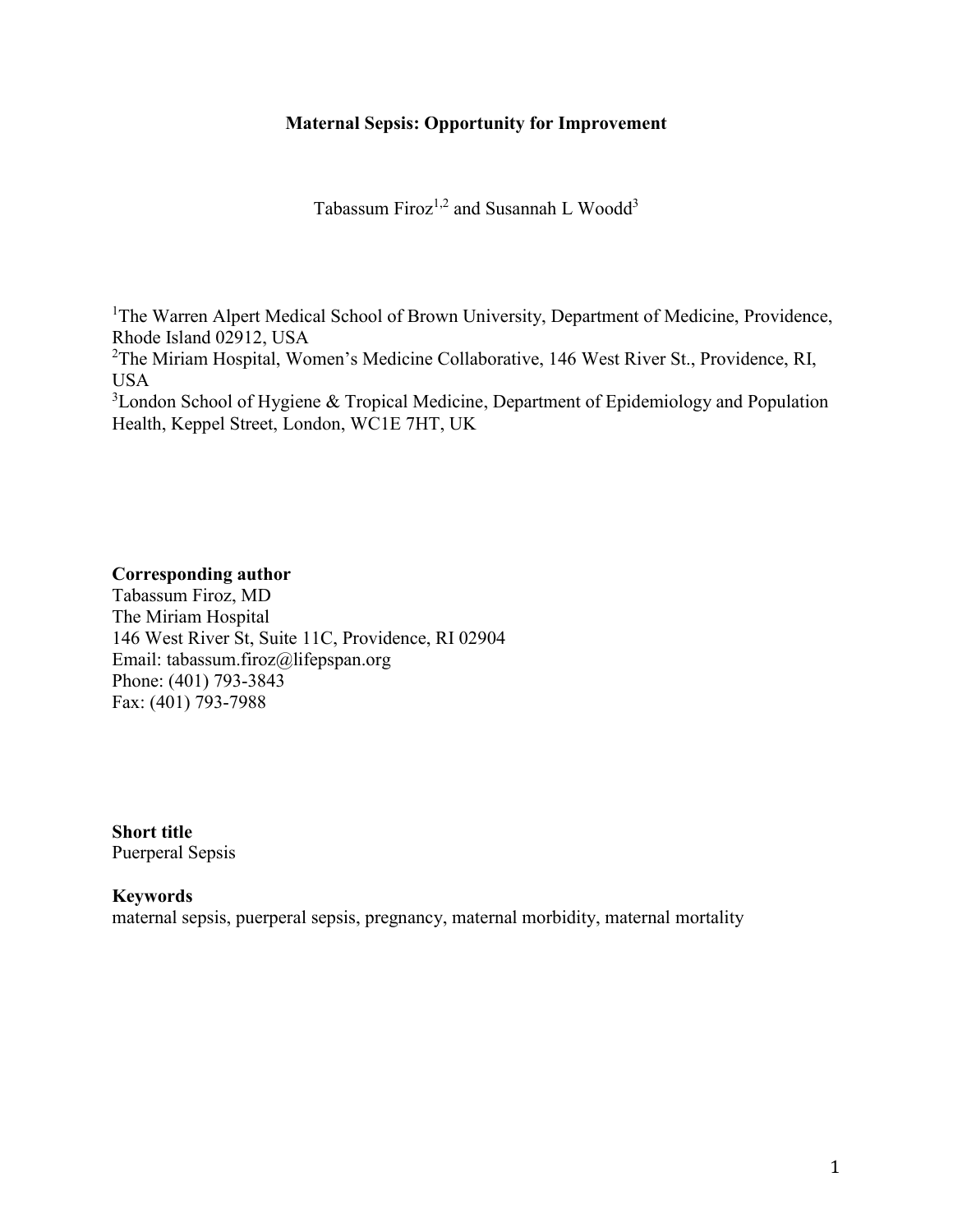# **Maternal Sepsis: Opportunity for Improvement**

Tabassum Firoz $1,2$  and Susannah L Woodd<sup>3</sup>

<sup>1</sup>The Warren Alpert Medical School of Brown University, Department of Medicine, Providence, Rhode Island 02912, USA <sup>2</sup>The Miriam Hospital, Women's Medicine Collaborative, 146 West River St., Providence, RI, USA

<sup>3</sup>London School of Hygiene & Tropical Medicine, Department of Epidemiology and Population Health, Keppel Street, London, WC1E 7HT, UK

## **Corresponding author**

Tabassum Firoz, MD The Miriam Hospital 146 West River St, Suite 11C, Providence, RI 02904 Email: tabassum.firoz@lifepspan.org Phone: (401) 793-3843 Fax: (401) 793-7988

**Short title** Puerperal Sepsis

### **Keywords**

maternal sepsis, puerperal sepsis, pregnancy, maternal morbidity, maternal mortality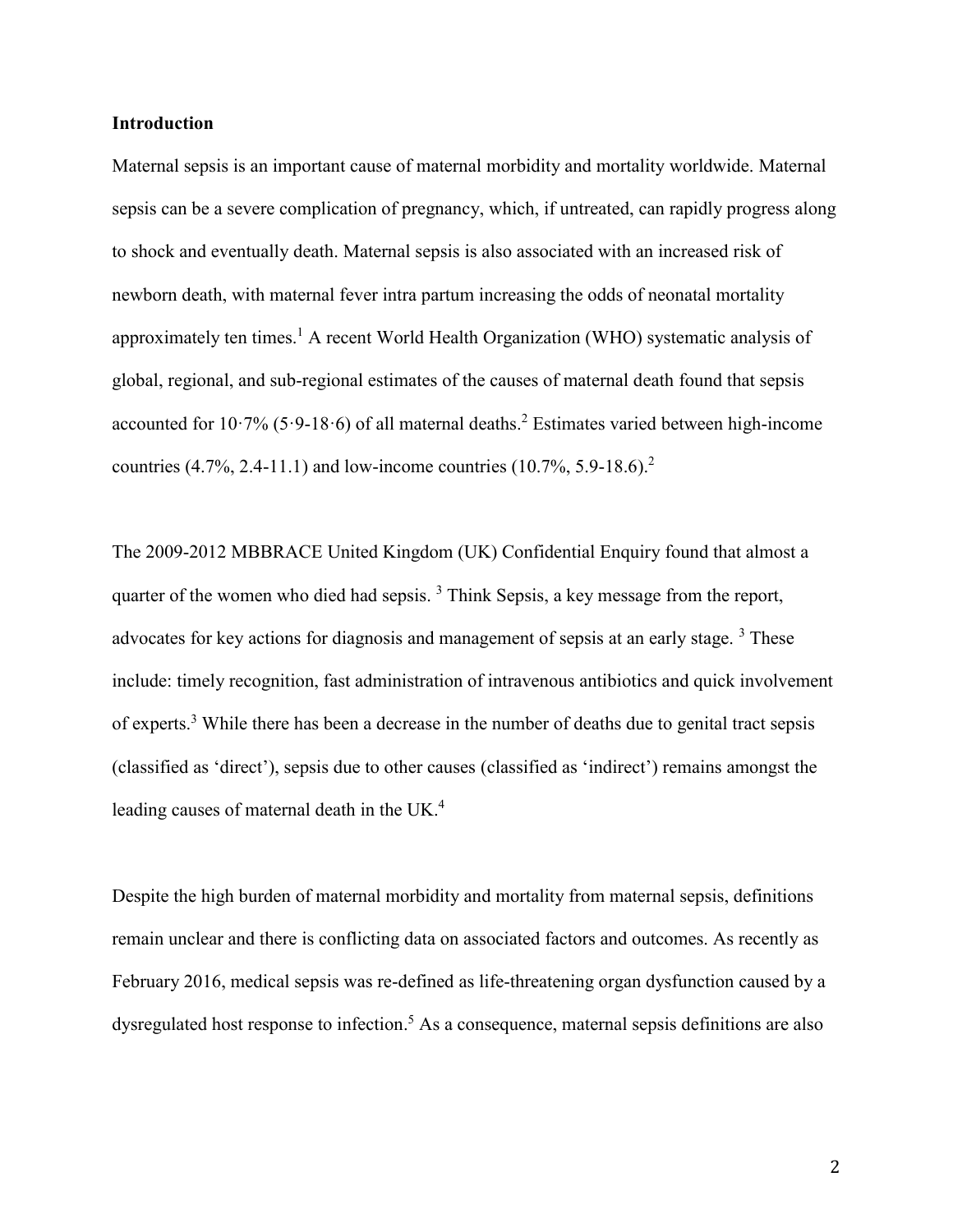### **Introduction**

Maternal sepsis is an important cause of maternal morbidity and mortality worldwide. Maternal sepsis can be a severe complication of pregnancy, which, if untreated, can rapidly progress along to shock and eventually death. Maternal sepsis is also associated with an increased risk of newborn death, with maternal fever intra partum increasing the odds of neonatal mortality approximately ten times.<sup>[1](#page-9-0)</sup> A recent World Health Organization (WHO) systematic analysis of global, regional, and sub-regional estimates of the causes of maternal death found that sepsis accounted for  $10.7\%$  (5.9-18.6) of all maternal deaths.<sup>[2](#page-9-1)</sup> Estimates varied between high-income countries  $(4.7\%, 2.4-11.1)$  $(4.7\%, 2.4-11.1)$  $(4.7\%, 2.4-11.1)$  and low-income countries  $(10.7\%, 5.9-18.6)^2$ 

The 2009-2012 MBBRACE United Kingdom (UK) Confidential Enquiry found that almost a quarter of the women who died had sepsis.  $3$  Think Sepsis, a key message from the report, advocates for key actions for diagnosis and management of sepsis at an early stage.<sup>[3](#page-9-2)</sup> These include: timely recognition, fast administration of intravenous antibiotics and quick involvement of experts.[3](#page-9-2) While there has been a decrease in the number of deaths due to genital tract sepsis (classified as 'direct'), sepsis due to other causes (classified as 'indirect') remains amongst the leading causes of maternal death in the UK. [4](#page-9-3)

Despite the high burden of maternal morbidity and mortality from maternal sepsis, definitions remain unclear and there is conflicting data on associated factors and outcomes. As recently as February 2016, medical sepsis was re-defined as life-threatening organ dysfunction caused by a dysregulated host response to infection.<sup>[5](#page-9-4)</sup> As a consequence, maternal sepsis definitions are also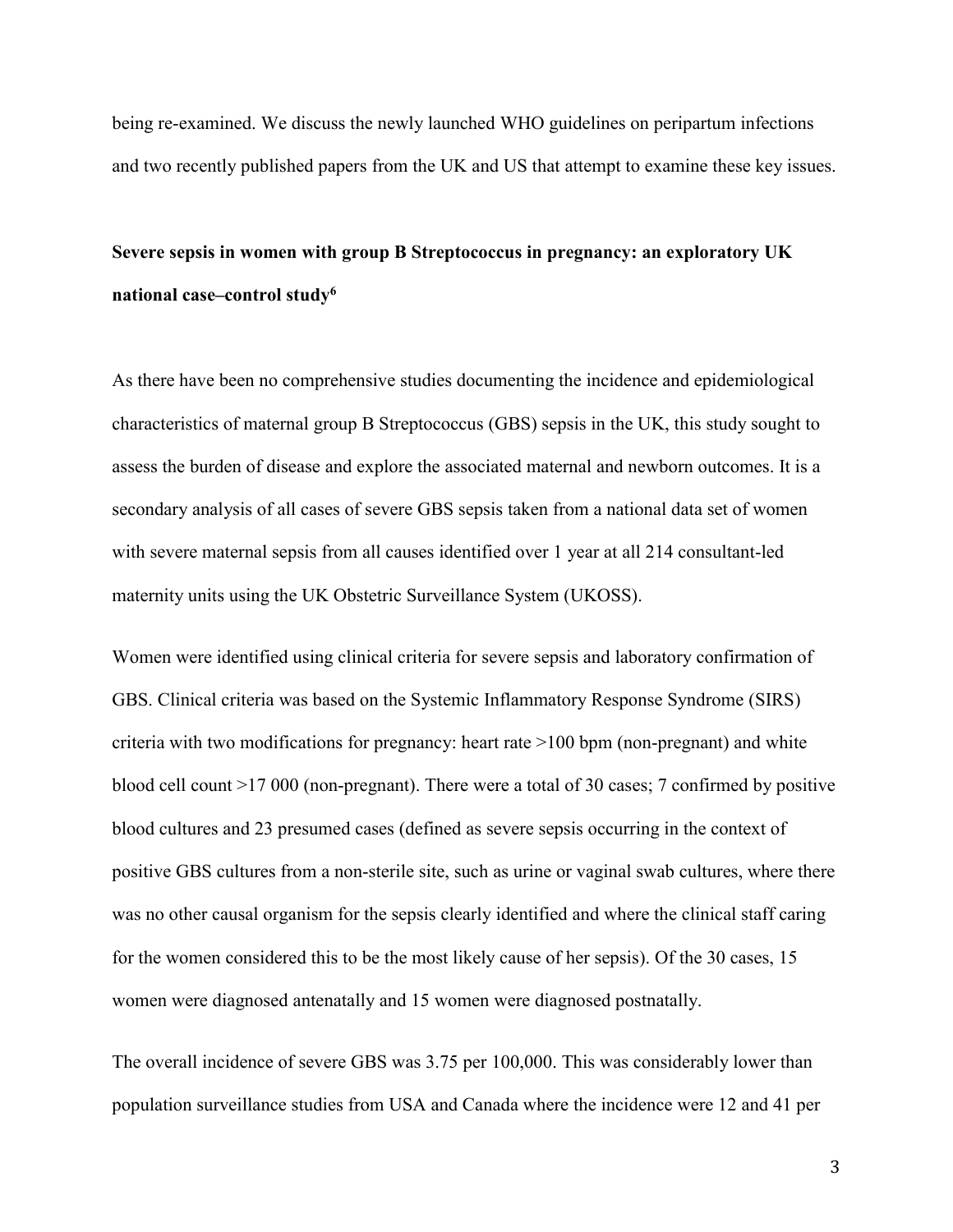being re-examined. We discuss the newly launched WHO guidelines on peripartum infections and two recently published papers from the UK and US that attempt to examine these key issues.

# **Severe sepsis in women with group B Streptococcus in pregnancy: an exploratory UK national case–control study<sup>6</sup>**

As there have been no comprehensive studies documenting the incidence and epidemiological characteristics of maternal group B Streptococcus (GBS) sepsis in the UK, this study sought to assess the burden of disease and explore the associated maternal and newborn outcomes. It is a secondary analysis of all cases of severe GBS sepsis taken from a national data set of women with severe maternal sepsis from all causes identified over 1 year at all 214 consultant-led maternity units using the UK Obstetric Surveillance System (UKOSS).

Women were identified using clinical criteria for severe sepsis and laboratory confirmation of GBS. Clinical criteria was based on the Systemic Inflammatory Response Syndrome (SIRS) criteria with two modifications for pregnancy: heart rate >100 bpm (non-pregnant) and white blood cell count >17 000 (non-pregnant). There were a total of 30 cases; 7 confirmed by positive blood cultures and 23 presumed cases (defined as severe sepsis occurring in the context of positive GBS cultures from a non-sterile site, such as urine or vaginal swab cultures, where there was no other causal organism for the sepsis clearly identified and where the clinical staff caring for the women considered this to be the most likely cause of her sepsis). Of the 30 cases, 15 women were diagnosed antenatally and 15 women were diagnosed postnatally.

The overall incidence of severe GBS was 3.75 per 100,000. This was considerably lower than population surveillance studies from USA and Canada where the incidence were 12 and 41 per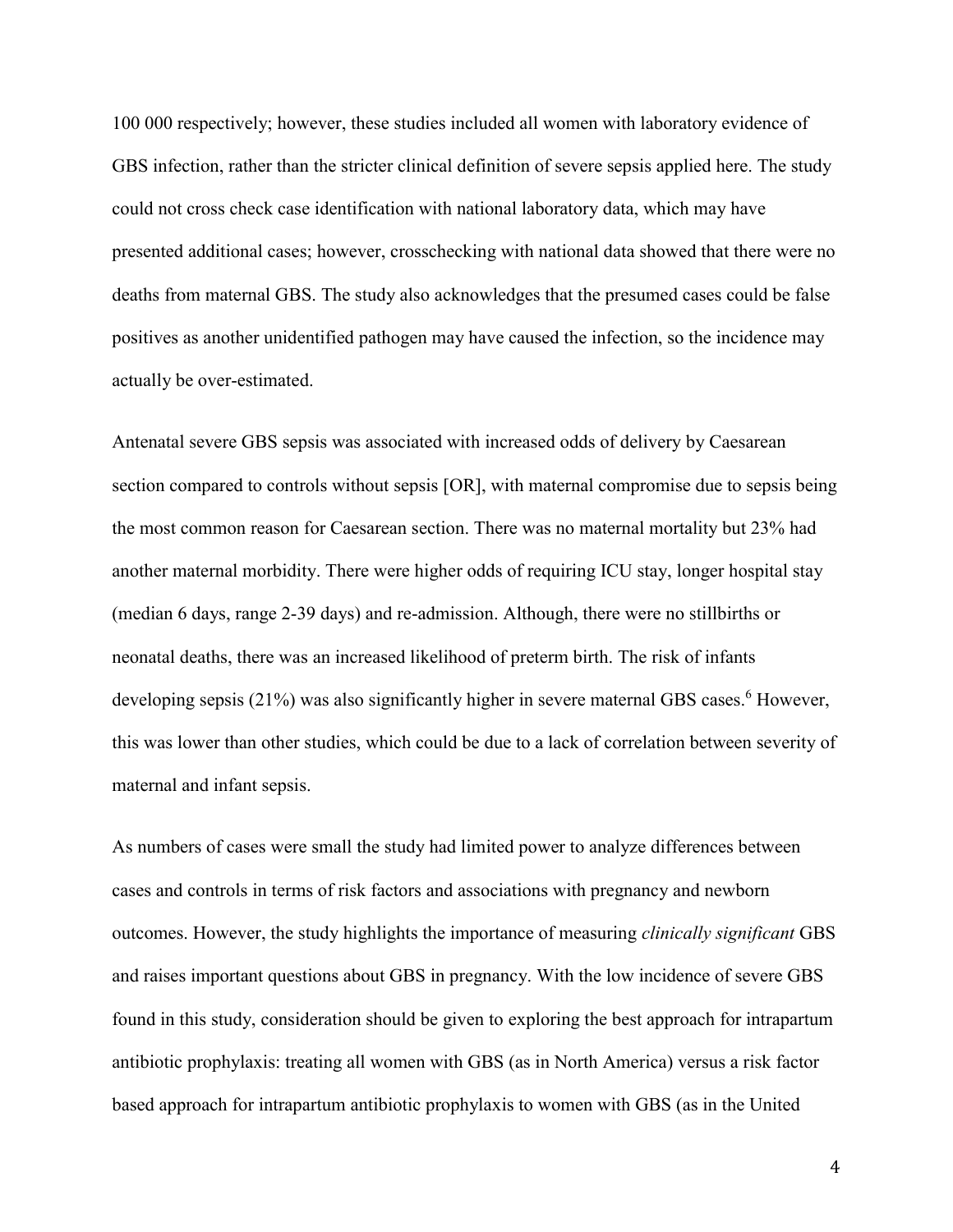100 000 respectively; however, these studies included all women with laboratory evidence of GBS infection, rather than the stricter clinical definition of severe sepsis applied here. The study could not cross check case identification with national laboratory data, which may have presented additional cases; however, crosschecking with national data showed that there were no deaths from maternal GBS. The study also acknowledges that the presumed cases could be false positives as another unidentified pathogen may have caused the infection, so the incidence may actually be over-estimated.

Antenatal severe GBS sepsis was associated with increased odds of delivery by Caesarean section compared to controls without sepsis [OR], with maternal compromise due to sepsis being the most common reason for Caesarean section. There was no maternal mortality but 23% had another maternal morbidity. There were higher odds of requiring ICU stay, longer hospital stay (median 6 days, range 2-39 days) and re-admission. Although, there were no stillbirths or neonatal deaths, there was an increased likelihood of preterm birth. The risk of infants developing sepsis (21%) was also significantly higher in severe maternal GBS cases.<sup>[6](#page-9-5)</sup> However, this was lower than other studies, which could be due to a lack of correlation between severity of maternal and infant sepsis.

As numbers of cases were small the study had limited power to analyze differences between cases and controls in terms of risk factors and associations with pregnancy and newborn outcomes. However, the study highlights the importance of measuring *clinically significant* GBS and raises important questions about GBS in pregnancy. With the low incidence of severe GBS found in this study, consideration should be given to exploring the best approach for intrapartum antibiotic prophylaxis: treating all women with GBS (as in North America) versus a risk factor based approach for intrapartum antibiotic prophylaxis to women with GBS (as in the United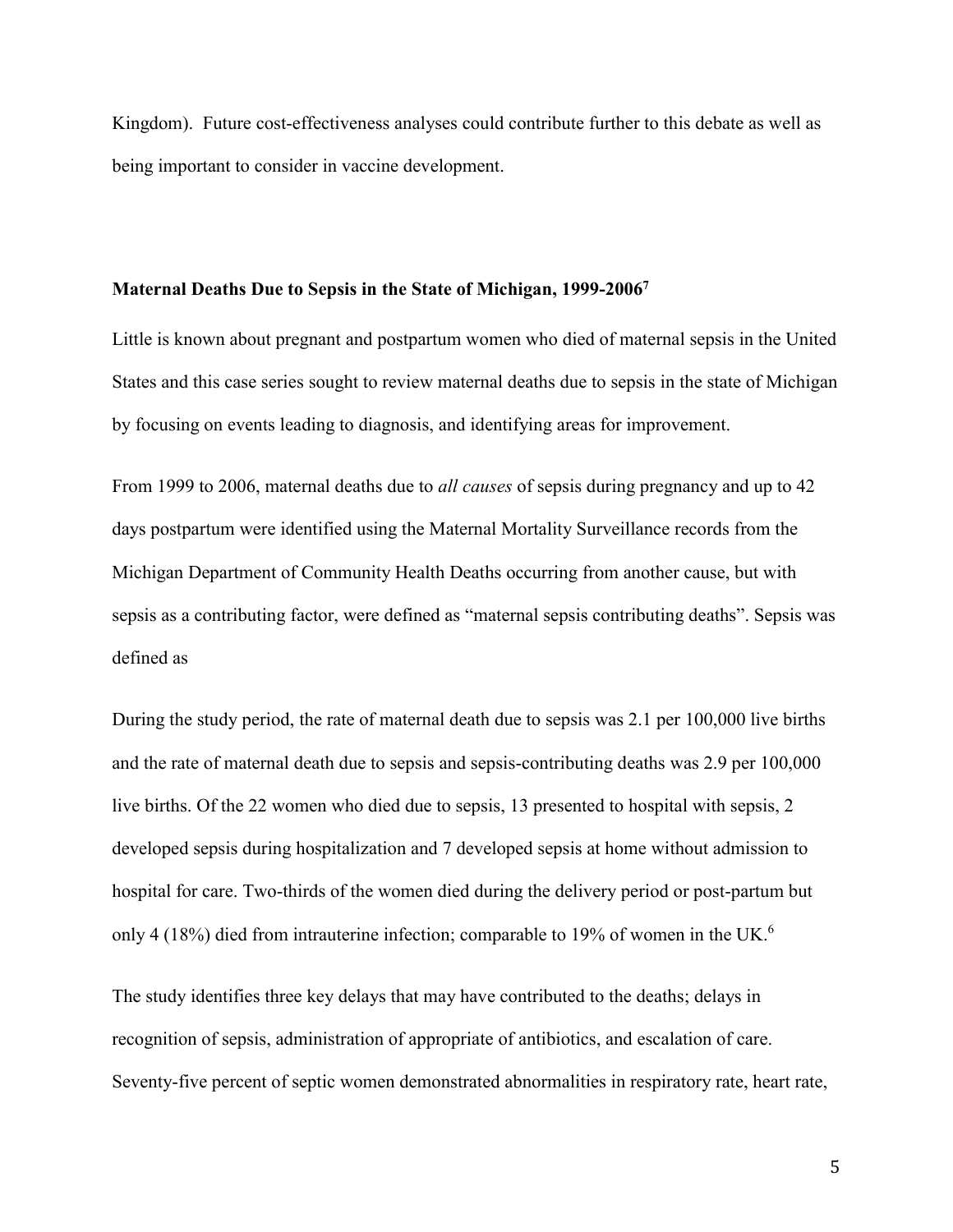Kingdom). Future cost-effectiveness analyses could contribute further to this debate as well as being important to consider in vaccine development.

#### **Maternal Deaths Due to Sepsis in the State of Michigan, 1999-2006<sup>7</sup>**

Little is known about pregnant and postpartum women who died of maternal sepsis in the United States and this case series sought to review maternal deaths due to sepsis in the state of Michigan by focusing on events leading to diagnosis, and identifying areas for improvement.

From 1999 to 2006, maternal deaths due to *all causes* of sepsis during pregnancy and up to 42 days postpartum were identified using the Maternal Mortality Surveillance records from the Michigan Department of Community Health Deaths occurring from another cause, but with sepsis as a contributing factor, were defined as "maternal sepsis contributing deaths". Sepsis was defined as

During the study period, the rate of maternal death due to sepsis was 2.1 per 100,000 live births and the rate of maternal death due to sepsis and sepsis-contributing deaths was 2.9 per 100,000 live births. Of the 22 women who died due to sepsis, 13 presented to hospital with sepsis, 2 developed sepsis during hospitalization and 7 developed sepsis at home without admission to hospital for care. Two-thirds of the women died during the delivery period or post-partum but only 4 (18%) died from intrauterine infection; comparable to 19% of women in the UK. 6

The study identifies three key delays that may have contributed to the deaths; delays in recognition of sepsis, administration of appropriate of antibiotics, and escalation of care. Seventy-five percent of septic women demonstrated abnormalities in respiratory rate, heart rate,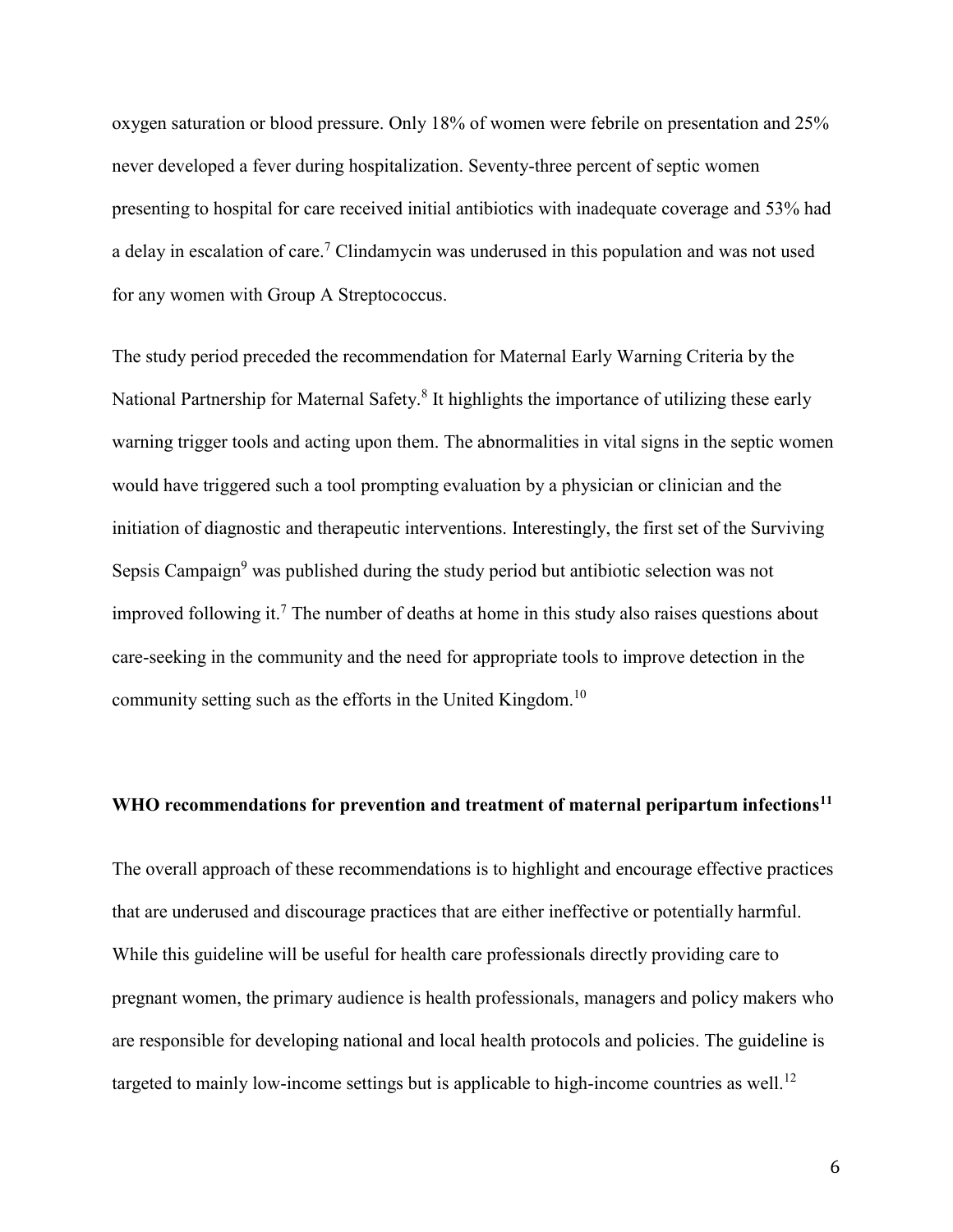oxygen saturation or blood pressure. Only 18% of women were febrile on presentation and 25% never developed a fever during hospitalization. Seventy-three percent of septic women presenting to hospital for care received initial antibiotics with inadequate coverage and 53% had a delay in escalation of care.[7](#page-9-6) Clindamycin was underused in this population and was not used for any women with Group A Streptococcus.

The study period preceded the recommendation for Maternal Early Warning Criteria by the National Partnership for Maternal Safety.<sup>[8](#page-10-0)</sup> It highlights the importance of utilizing these early warning trigger tools and acting upon them. The abnormalities in vital signs in the septic women would have triggered such a tool prompting evaluation by a physician or clinician and the initiation of diagnostic and therapeutic interventions. Interestingly, the first set of the Surviving Sepsis Campaign<sup>[9](#page-10-1)</sup> was published during the study period but antibiotic selection was not improved following it.<sup>[7](#page-9-6)</sup> The number of deaths at home in this study also raises questions about care-seeking in the community and the need for appropriate tools to improve detection in the community setting such as the efforts in the United Kingdom.<sup>[10](#page-10-2)</sup>

## **WHO recommendations for prevention and treatment of maternal peripartum infections<sup>11</sup>**

The overall approach of these recommendations is to highlight and encourage effective practices that are underused and discourage practices that are either ineffective or potentially harmful. While this guideline will be useful for health care professionals directly providing care to pregnant women, the primary audience is health professionals, managers and policy makers who are responsible for developing national and local health protocols and policies. The guideline is targeted to mainly low-income settings but is applicable to high-income countries as well.<sup>[12](#page-10-3)</sup>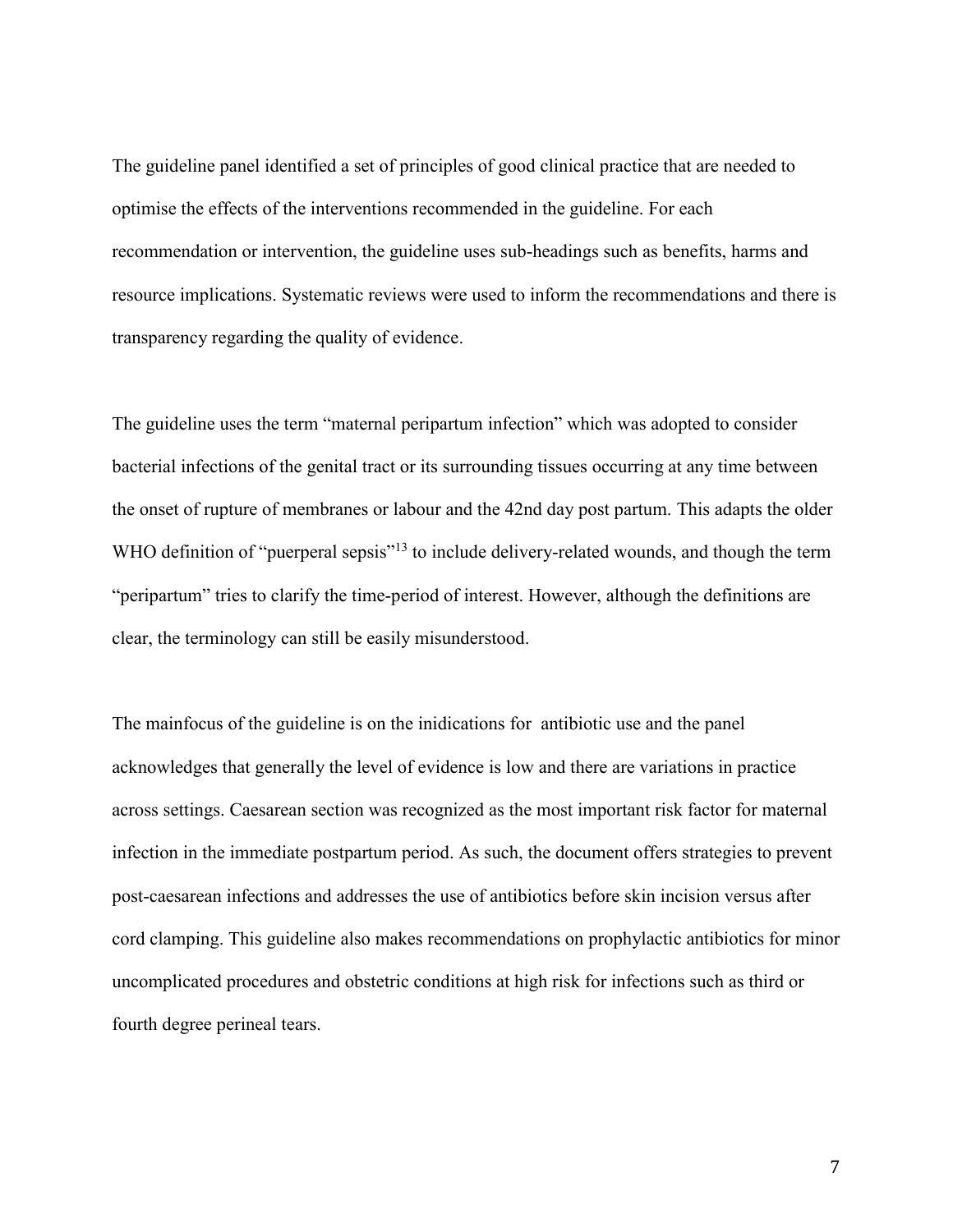The guideline panel identified a set of principles of good clinical practice that are needed to optimise the effects of the interventions recommended in the guideline. For each recommendation or intervention, the guideline uses sub-headings such as benefits, harms and resource implications. Systematic reviews were used to inform the recommendations and there is transparency regarding the quality of evidence.

The guideline uses the term "maternal peripartum infection" which was adopted to consider bacterial infections of the genital tract or its surrounding tissues occurring at any time between the onset of rupture of membranes or labour and the 42nd day post partum. This adapts the older WHO definition of "puerperal sepsis"<sup>[13](#page-10-4)</sup> to include delivery-related wounds, and though the term "peripartum" tries to clarify the time-period of interest. However, although the definitions are clear, the terminology can still be easily misunderstood.

The mainfocus of the guideline is on the inidications for antibiotic use and the panel acknowledges that generally the level of evidence is low and there are variations in practice across settings. Caesarean section was recognized as the most important risk factor for maternal infection in the immediate postpartum period. As such, the document offers strategies to prevent post-caesarean infections and addresses the use of antibiotics before skin incision versus after cord clamping. This guideline also makes recommendations on prophylactic antibiotics for minor uncomplicated procedures and obstetric conditions at high risk for infections such as third or fourth degree perineal tears.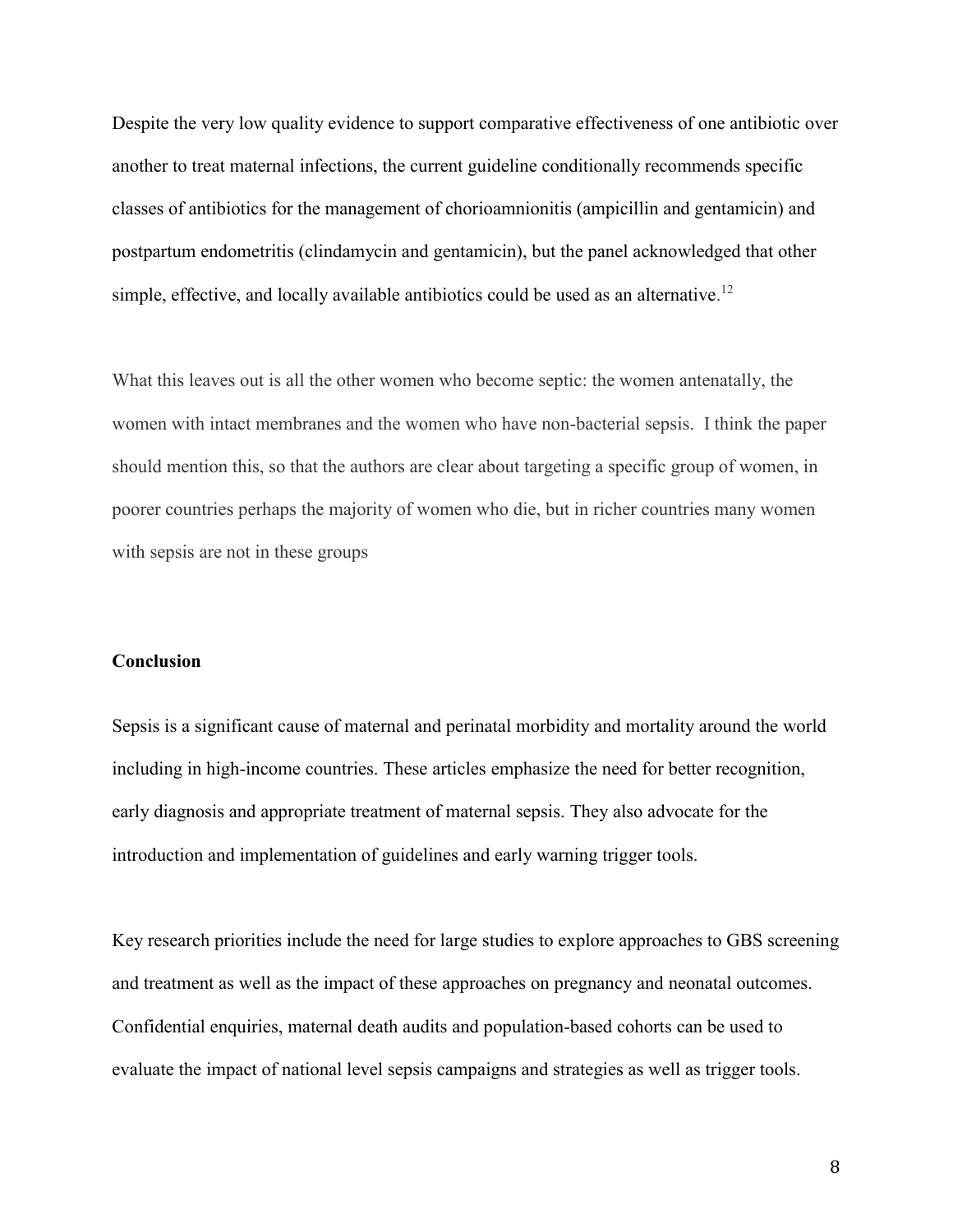Despite the very low quality evidence to support comparative effectiveness of one antibiotic over another to treat maternal infections, the current guideline conditionally recommends specific classes of antibiotics for the management of chorioamnionitis (ampicillin and gentamicin) and postpartum endometritis (clindamycin and gentamicin), but the panel acknowledged that other simple, effective, and locally available antibiotics could be used as an alternative.<sup>12</sup>

What this leaves out is all the other women who become septic: the women antenatally, the women with intact membranes and the women who have non-bacterial sepsis. I think the paper should mention this, so that the authors are clear about targeting a specific group of women, in poorer countries perhaps the majority of women who die, but in richer countries many women with sepsis are not in these groups

### **Conclusion**

Sepsis is a significant cause of maternal and perinatal morbidity and mortality around the world including in high-income countries. These articles emphasize the need for better recognition, early diagnosis and appropriate treatment of maternal sepsis. They also advocate for the introduction and implementation of guidelines and early warning trigger tools.

Key research priorities include the need for large studies to explore approaches to GBS screening and treatment as well as the impact of these approaches on pregnancy and neonatal outcomes. Confidential enquiries, maternal death audits and population-based cohorts can be used to evaluate the impact of national level sepsis campaigns and strategies as well as trigger tools.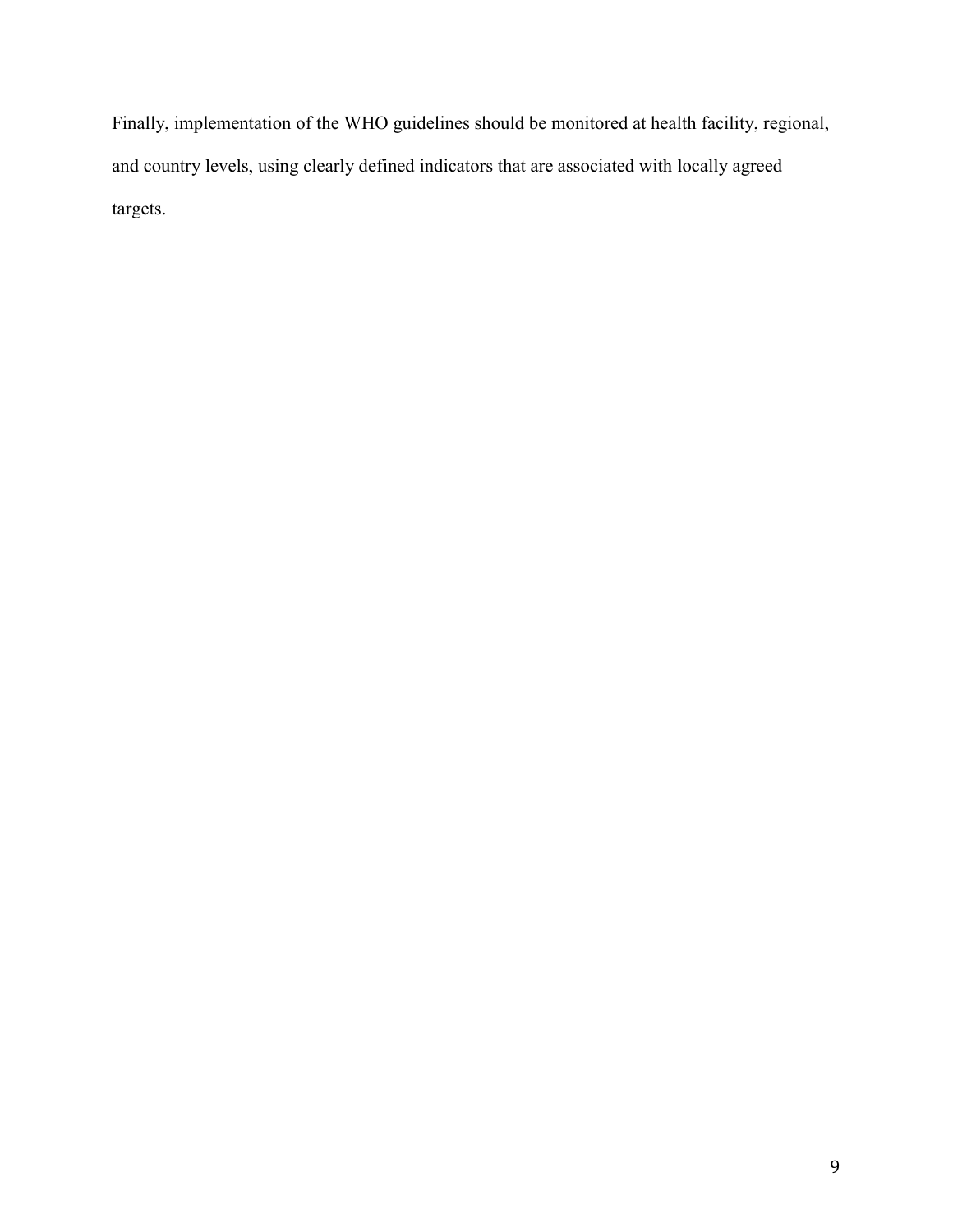Finally, implementation of the WHO guidelines should be monitored at health facility, regional, and country levels, using clearly defined indicators that are associated with locally agreed targets.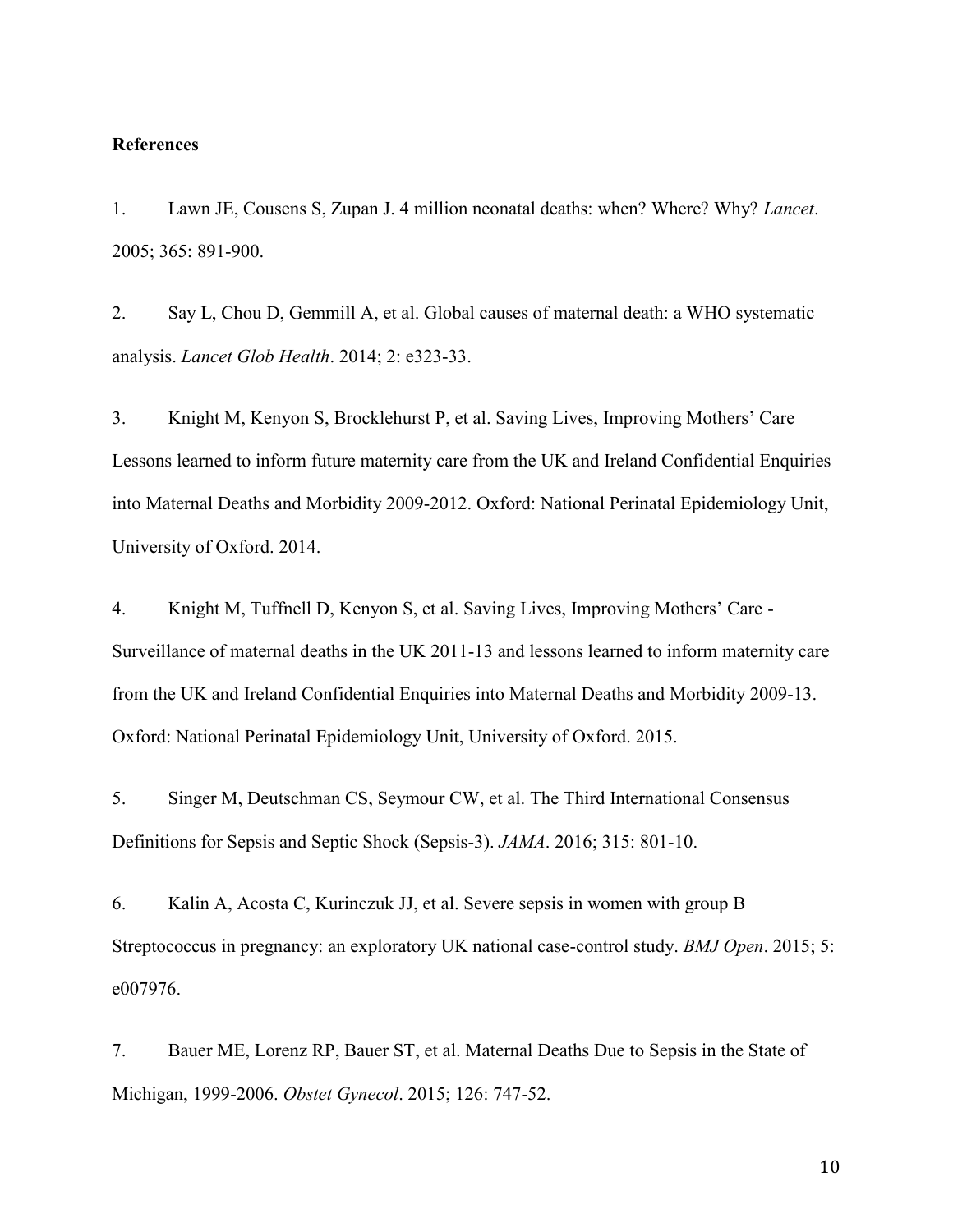### **References**

<span id="page-9-0"></span>1. Lawn JE, Cousens S, Zupan J. 4 million neonatal deaths: when? Where? Why? *Lancet*. 2005; 365: 891-900.

<span id="page-9-1"></span>2. Say L, Chou D, Gemmill A, et al. Global causes of maternal death: a WHO systematic analysis. *Lancet Glob Health*. 2014; 2: e323-33.

<span id="page-9-2"></span>3. Knight M, Kenyon S, Brocklehurst P, et al. Saving Lives, Improving Mothers' Care Lessons learned to inform future maternity care from the UK and Ireland Confidential Enquiries into Maternal Deaths and Morbidity 2009-2012. Oxford: National Perinatal Epidemiology Unit, University of Oxford. 2014.

<span id="page-9-3"></span>4. Knight M, Tuffnell D, Kenyon S, et al. Saving Lives, Improving Mothers' Care - Surveillance of maternal deaths in the UK 2011-13 and lessons learned to inform maternity care from the UK and Ireland Confidential Enquiries into Maternal Deaths and Morbidity 2009-13. Oxford: National Perinatal Epidemiology Unit, University of Oxford. 2015.

<span id="page-9-4"></span>5. Singer M, Deutschman CS, Seymour CW, et al. The Third International Consensus Definitions for Sepsis and Septic Shock (Sepsis-3). *JAMA*. 2016; 315: 801-10.

<span id="page-9-5"></span>6. Kalin A, Acosta C, Kurinczuk JJ, et al. Severe sepsis in women with group B Streptococcus in pregnancy: an exploratory UK national case-control study. *BMJ Open*. 2015; 5: e007976.

<span id="page-9-6"></span>7. Bauer ME, Lorenz RP, Bauer ST, et al. Maternal Deaths Due to Sepsis in the State of Michigan, 1999-2006. *Obstet Gynecol*. 2015; 126: 747-52.